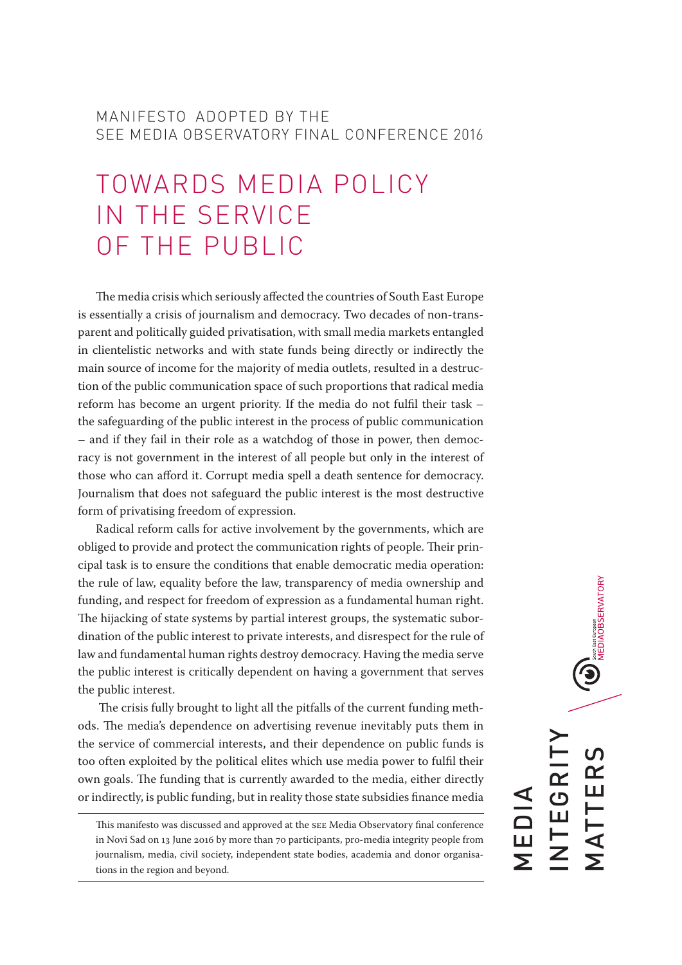## MANIFESTO ADOPTED BY THE SEE MEDIA OBSERVATORY FINAL CONFERENCE 2016

## TOWARDS MEDIA POLICY IN THE SERVICE OF THE PUBLIC

The media crisis which seriously affected the countries of South East Europe is essentially a crisis of journalism and democracy. Two decades of non-transparent and politically guided privatisation, with small media markets entangled in clientelistic networks and with state funds being directly or indirectly the main source of income for the majority of media outlets, resulted in a destruction of the public communication space of such proportions that radical media reform has become an urgent priority. If the media do not fulfil their task – the safeguarding of the public interest in the process of public communication – and if they fail in their role as a watchdog of those in power, then democracy is not government in the interest of all people but only in the interest of those who can afford it. Corrupt media spell a death sentence for democracy. Journalism that does not safeguard the public interest is the most destructive form of privatising freedom of expression.

Radical reform calls for active involvement by the governments, which are obliged to provide and protect the communication rights of people. Their principal task is to ensure the conditions that enable democratic media operation: the rule of law, equality before the law, transparency of media ownership and funding, and respect for freedom of expression as a fundamental human right. The hijacking of state systems by partial interest groups, the systematic subordination of the public interest to private interests, and disrespect for the rule of law and fundamental human rights destroy democracy. Having the media serve the public interest is critically dependent on having a government that serves the public interest.

 The crisis fully brought to light all the pitfalls of the current funding methods. The media's dependence on advertising revenue inevitably puts them in the service of commercial interests, and their dependence on public funds is too often exploited by the political elites which use media power to fulfil their own goals. The funding that is currently awarded to the media, either directly or indirectly, is public funding, but in reality those state subsidies finance media

This manifesto was discussed and approved at the SEE Media Observatory final conference in Novi Sad on 13 June 2016 by more than 70 participants, pro-media integrity people from journalism, media, civil society, independent state bodies, academia and donor organisations in the region and beyond.

 $\bigcirc$  MEDIAOBSERVATORY INTEGRITY  $\overline{C}$ MATTERS EGRI TTER MEDIA **AV**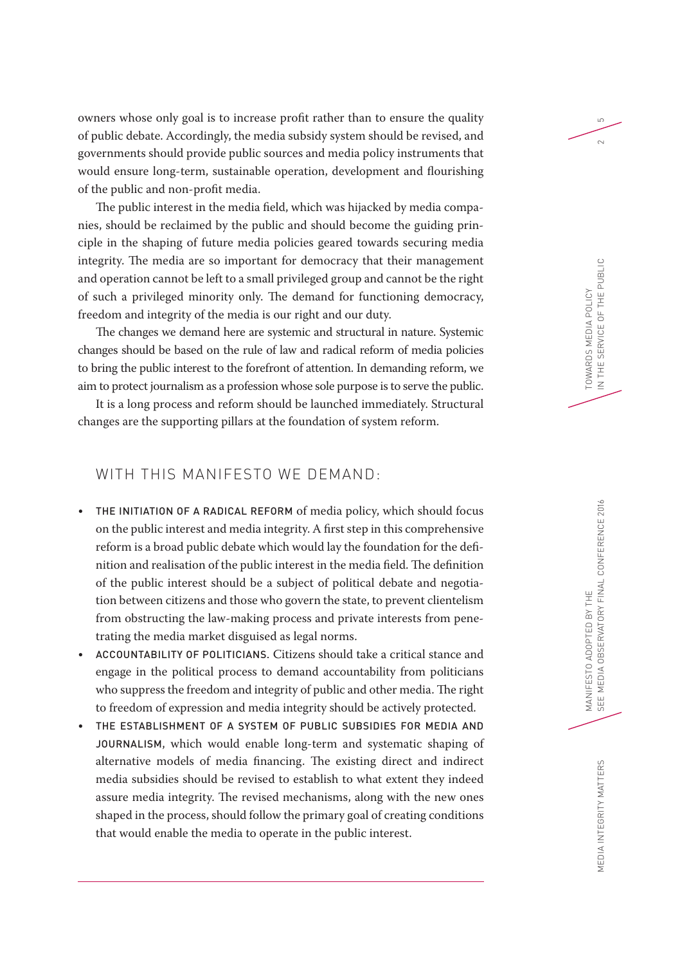owners whose only goal is to increase profit rather than to ensure the quality <sup>5</sup> of public debate. Accordingly, the media subsidy system should be revised, and governments should provide public sources and media policy instruments that would ensure long-term, sustainable operation, development and flourishing of the public and non-profit media.

The public interest in the media field, which was hijacked by media companies, should be reclaimed by the public and should become the guiding principle in the shaping of future media policies geared towards securing media integrity. The media are so important for democracy that their management and operation cannot be left to a small privileged group and cannot be the right of such a privileged minority only. The demand for functioning democracy, freedom and integrity of the media is our right and our duty.

The changes we demand here are systemic and structural in nature. Systemic changes should be based on the rule of law and radical reform of media policies to bring the public interest to the forefront of attention. In demanding reform, we aim to protect journalism as a profession whose sole purpose is to serve the public.

It is a long process and reform should be launched immediately. Structural changes are the supporting pillars at the foundation of system reform.

## WITH THIS MANIFESTO WE DEMAND:

- THE INITIATION OF A RADICAL REFORM of media policy, which should focus on the public interest and media integrity. A first step in this comprehensive reform is a broad public debate which would lay the foundation for the definition and realisation of the public interest in the media field. The definition of the public interest should be a subject of political debate and negotiation between citizens and those who govern the state, to prevent clientelism from obstructing the law-making process and private interests from penetrating the media market disguised as legal norms.
- ACCOUNTABILITY OF POLITICIANS. Citizens should take a critical stance and engage in the political process to demand accountability from politicians who suppress the freedom and integrity of public and other media. The right to freedom of expression and media integrity should be actively protected.
- THE ESTABLISHMENT OF A SYSTEM OF PUBLIC SUBSIDIES FOR MEDIA AND JOURNALISM, which would enable long-term and systematic shaping of alternative models of media financing. The existing direct and indirect media subsidies should be revised to establish to what extent they indeed assure media integrity. The revised mechanisms, along with the new ones shaped in the process, should follow the primary goal of creating conditions that would enable the media to operate in the public interest.

 $\sim$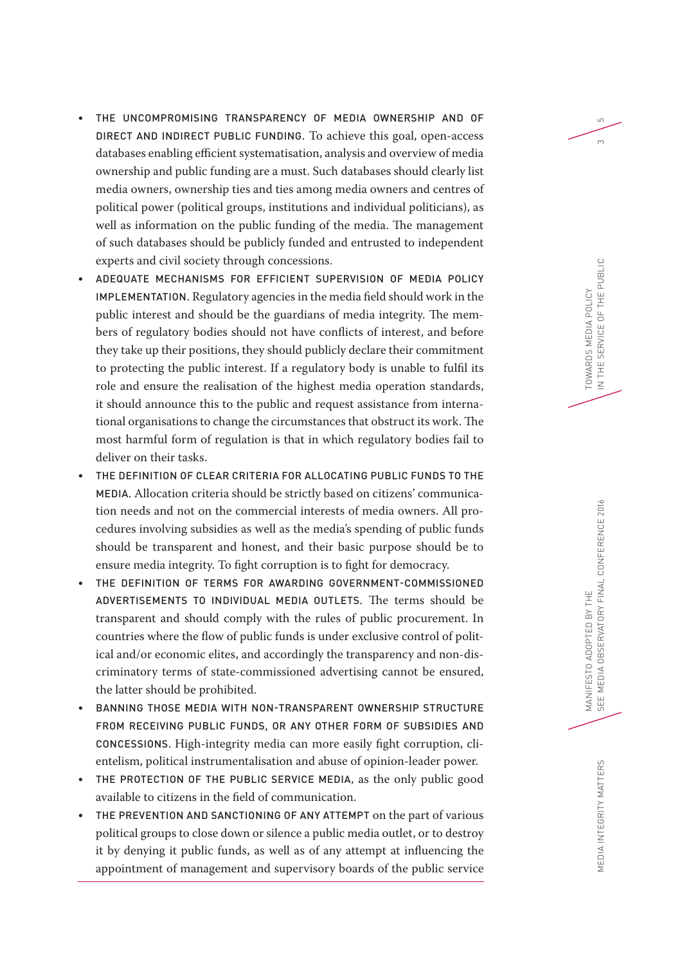- THE UNCOMPROMISING TRANSPARENCY OF MEDIA OWNERSHIP AND OF DIRECT AND INDIRECT PUBLIC FUNDING. To achieve this goal, open-access databases enabling efficient systematisation, analysis and overview of media ownership and public funding are a must. Such databases should clearly list media owners, ownership ties and ties among media owners and centres of political power (political groups, institutions and individual politicians), as well as information on the public funding of the media. The management of such databases should be publicly funded and entrusted to independent experts and civil society through concessions.
- ADEQUATE MECHANISMS FOR EFFICIENT SUPERVISION OF MEDIA POLICY IMPLEMENTATION. Regulatory agencies in the media field should work in the public interest and should be the guardians of media integrity. The members of regulatory bodies should not have conflicts of interest, and before they take up their positions, they should publicly declare their commitment to protecting the public interest. If a regulatory body is unable to fulfil its role and ensure the realisation of the highest media operation standards, it should announce this to the public and request assistance from international organisations to change the circumstances that obstruct its work. The most harmful form of regulation is that in which regulatory bodies fail to deliver on their tasks.
- THE DEFINITION OF CLEAR CRITERIA FOR ALLOCATING PUBLIC FUNDS TO THE MEDIA. Allocation criteria should be strictly based on citizens' communication needs and not on the commercial interests of media owners. All procedures involving subsidies as well as the media's spending of public funds should be transparent and honest, and their basic purpose should be to ensure media integrity. To fight corruption is to fight for democracy.
- THE DEFINITION OF TERMS FOR AWARDING GOVERNMENT-COMMISSIONED ADVERTISEMENTS TO INDIVIDUAL MEDIA OUTLETS. The terms should be transparent and should comply with the rules of public procurement. In countries where the flow of public funds is under exclusive control of political and/or economic elites, and accordingly the transparency and non-discriminatory terms of state-commissioned advertising cannot be ensured, the latter should be prohibited.
- BANNING THOSE MEDIA WITH NON-TRANSPARENT OWNERSHIP STRUCTURE FROM RECEIVING PUBLIC FUNDS, OR ANY OTHER FORM OF SUBSIDIES AND CONCESSIONS. High-integrity media can more easily fight corruption, clientelism, political instrumentalisation and abuse of opinion-leader power.
- THE PROTECTION OF THE PUBLIC SERVICE MEDIA, as the only public good available to citizens in the field of communication.
- THE PREVENTION AND SANCTIONING OF ANY ATTEMPT on the part of various political groups to close down or silence a public media outlet, or to destroy it by denying it public funds, as well as of any attempt at influencing the appointment of management and supervisory boards of the public service

 $\infty$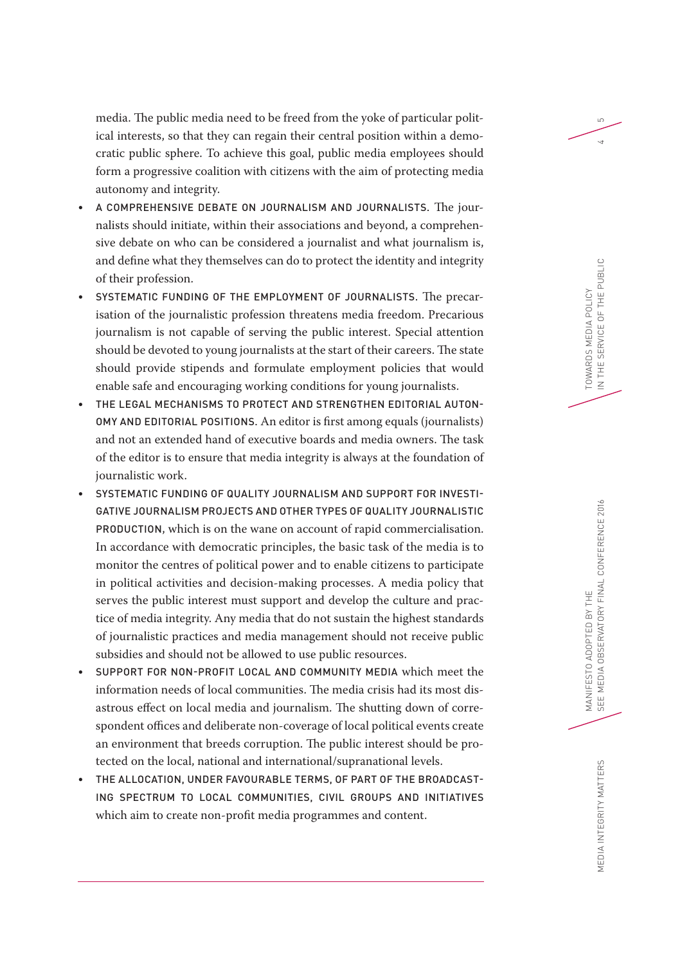media. The public media need to be freed from the yoke of particular polit- <sup>5</sup> ical interests, so that they can regain their central position within a democratic public sphere. To achieve this goal, public media employees should form a progressive coalition with citizens with the aim of protecting media autonomy and integrity.

- A COMPREHENSIVE DEBATE ON JOURNALISM AND JOURNALISTS. The journalists should initiate, within their associations and beyond, a comprehensive debate on who can be considered a journalist and what journalism is, and define what they themselves can do to protect the identity and integrity of their profession.
- SYSTEMATIC FUNDING OF THE EMPLOYMENT OF JOURNALISTS. The precarisation of the journalistic profession threatens media freedom. Precarious journalism is not capable of serving the public interest. Special attention should be devoted to young journalists at the start of their careers. The state should provide stipends and formulate employment policies that would enable safe and encouraging working conditions for young journalists.
- THE LEGAL MECHANISMS TO PROTECT AND STRENGTHEN EDITORIAL AUTON-OMY AND EDITORIAL POSITIONS. An editor is first among equals (journalists) and not an extended hand of executive boards and media owners. The task of the editor is to ensure that media integrity is always at the foundation of journalistic work.
- SYSTEMATIC FUNDING OF QUALITY JOURNALISM AND SUPPORT FOR INVESTI-GATIVE JOURNALISM PROJECTS AND OTHER TYPES OF QUALITY JOURNALISTIC PRODUCTION, which is on the wane on account of rapid commercialisation. In accordance with democratic principles, the basic task of the media is to monitor the centres of political power and to enable citizens to participate in political activities and decision-making processes. A media policy that serves the public interest must support and develop the culture and practice of media integrity. Any media that do not sustain the highest standards of journalistic practices and media management should not receive public subsidies and should not be allowed to use public resources.
- SUPPORT FOR NON-PROFIT LOCAL AND COMMUNITY MEDIA which meet the information needs of local communities. The media crisis had its most disastrous effect on local media and journalism. The shutting down of correspondent offices and deliberate non-coverage of local political events create an environment that breeds corruption. The public interest should be protected on the local, national and international/supranational levels.
- THE ALLOCATION, UNDER FAVOURABLE TERMS, OF PART OF THE BROADCAST-ING SPECTRUM TO LOCAL COMMUNITIES, CIVIL GROUPS AND INITIATIVES which aim to create non-profit media programmes and content.

 $\overline{4}$